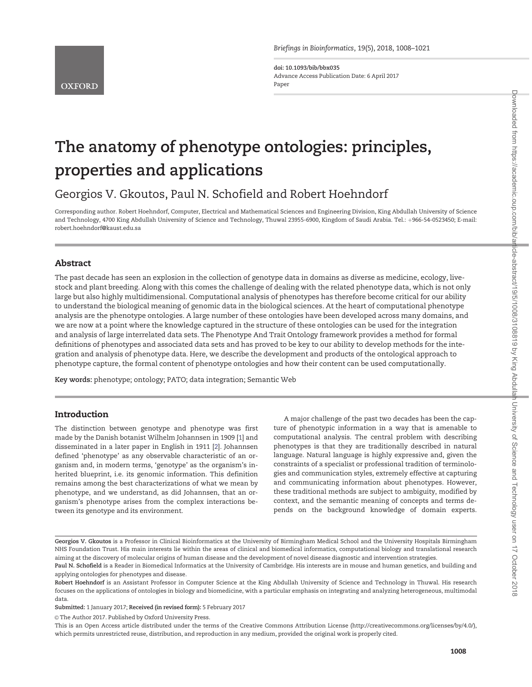Briefings in Bioinformatics, 19(5), 2018, 1008–1021

doi: 10.1093/bib/bbx035 Advance Access Publication Date: 6 April 2017 Paper

# The anatomy of phenotype ontologies: principles, properties and applications

Georgios V. Gkoutos, Paul N. Schofield and Robert Hoehndorf

Corresponding author. Robert Hoehndorf, Computer, Electrical and Mathematical Sciences and Engineering Division, King Abdullah University of Science and Technology, 4700 King Abdullah University of Science and Technology, Thuwal 23955-6900, Kingdom of Saudi Arabia. Tel.: +966-54-0523450; E-mail: robert.hoehndorf@kaust.edu.sa

## Abstract

The past decade has seen an explosion in the collection of genotype data in domains as diverse as medicine, ecology, livestock and plant breeding. Along with this comes the challenge of dealing with the related phenotype data, which is not only large but also highly multidimensional. Computational analysis of phenotypes has therefore become critical for our ability to understand the biological meaning of genomic data in the biological sciences. At the heart of computational phenotype analysis are the phenotype ontologies. A large number of these ontologies have been developed across many domains, and we are now at a point where the knowledge captured in the structure of these ontologies can be used for the integration and analysis of large interrelated data sets. The Phenotype And Trait Ontology framework provides a method for formal definitions of phenotypes and associated data sets and has proved to be key to our ability to develop methods for the integration and analysis of phenotype data. Here, we describe the development and products of the ontological approach to phenotype capture, the formal content of phenotype ontologies and how their content can be used computationally.

Key words: phenotype; ontology; PATO; data integration; Semantic Web

## Introduction

The distinction between genotype and phenotype was first made by the Danish botanist Wilhelm Johannsen in 1909 [[1\]](#page-9-0) and disseminated in a later paper in English in 1911 [[2](#page-9-0)]. Johannsen defined 'phenotype' as any observable characteristic of an organism and, in modern terms, 'genotype' as the organism's inherited blueprint, i.e. its genomic information. This definition remains among the best characterizations of what we mean by phenotype, and we understand, as did Johannsen, that an organism's phenotype arises from the complex interactions between its genotype and its environment.

A major challenge of the past two decades has been the capture of phenotypic information in a way that is amenable to computational analysis. The central problem with describing phenotypes is that they are traditionally described in natural language. Natural language is highly expressive and, given the constraints of a specialist or professional tradition of terminologies and communication styles, extremely effective at capturing and communicating information about phenotypes. However, these traditional methods are subject to ambiguity, modified by context, and the semantic meaning of concepts and terms depends on the background knowledge of domain experts.

Georgios V. Gkoutos is a Professor in Clinical Bioinformatics at the University of Birmingham Medical School and the University Hospitals Birmingham NHS Foundation Trust. His main interests lie within the areas of clinical and biomedical informatics, computational biology and translational research aiming at the discovery of molecular origins of human disease and the development of novel disease diagnostic and intervention strategies.

Paul N. Schofield is a Reader in Biomedical Informatics at the University of Cambridge. His interests are in mouse and human genetics, and building and applying ontologies for phenotypes and disease.

Robert Hoehndorf is an Assistant Professor in Computer Science at the King Abdullah University of Science and Technology in Thuwal. His research focuses on the applications of ontologies in biology and biomedicine, with a particular emphasis on integrating and analyzing heterogeneous, multimodal data.

Submitted: 1 January 2017; Received (in revised form): 5 February 2017

<sup>©</sup> The Author 2017. Published by Oxford University Press.

This is an Open Access article distributed under the terms of the Creative Commons Attribution License (http://creativecommons.org/licenses/by/4.0/), which permits unrestricted reuse, distribution, and reproduction in any medium, provided the original work is properly cited.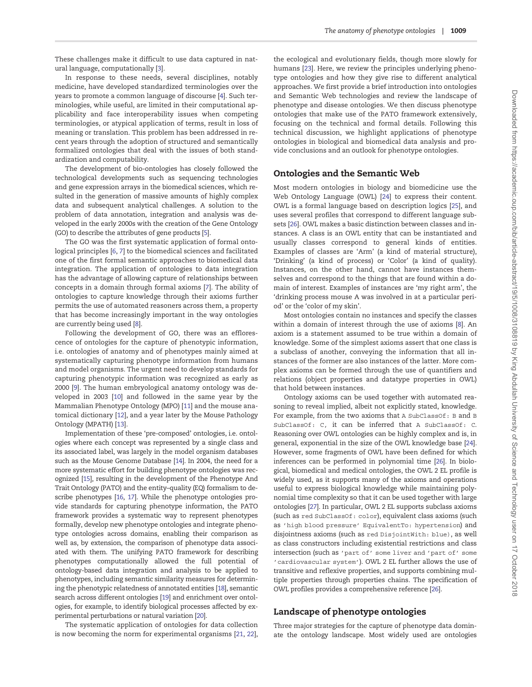These challenges make it difficult to use data captured in natural language, computationally [[3\]](#page-9-0).

In response to these needs, several disciplines, notably medicine, have developed standardized terminologies over the years to promote a common language of discourse [\[4](#page-10-0)]. Such terminologies, while useful, are limited in their computational applicability and face interoperability issues when competing terminologies, or atypical application of terms, result in loss of meaning or translation. This problem has been addressed in recent years through the adoption of structured and semantically formalized ontologies that deal with the issues of both standardization and computability.

The development of bio-ontologies has closely followed the technological developments such as sequencing technologies and gene expression arrays in the biomedical sciences, which resulted in the generation of massive amounts of highly complex data and subsequent analytical challenges. A solution to the problem of data annotation, integration and analysis was developed in the early 2000s with the creation of the Gene Ontology (GO) to describe the attributes of gene products [[5\]](#page-10-0).

The GO was the first systematic application of formal ontological principles [\[6,](#page-10-0) [7\]](#page-10-0) to the biomedical sciences and facilitated one of the first formal semantic approaches to biomedical data integration. The application of ontologies to data integration has the advantage of allowing capture of relationships between concepts in a domain through formal axioms [[7\]](#page-10-0). The ability of ontologies to capture knowledge through their axioms further permits the use of automated reasoners across them, a property that has become increasingly important in the way ontologies are currently being used [[8\]](#page-10-0).

Following the development of GO, there was an efflorescence of ontologies for the capture of phenotypic information, i.e. ontologies of anatomy and of phenotypes mainly aimed at systematically capturing phenotype information from humans and model organisms. The urgent need to develop standards for capturing phenotypic information was recognized as early as 2000 [[9](#page-10-0)]. The human embryological anatomy ontology was developed in 2003 [[10](#page-10-0)] and followed in the same year by the Mammalian Phenotype Ontology (MPO) [\[11\]](#page-10-0) and the mouse anatomical dictionary [[12](#page-10-0)], and a year later by the Mouse Pathology Ontology (MPATH) [[13\]](#page-10-0).

Implementation of these 'pre-composed' ontologies, i.e. ontologies where each concept was represented by a single class and its associated label, was largely in the model organism databases such as the Mouse Genome Database [\[14\]](#page-10-0). In 2004, the need for a more systematic effort for building phenotype ontologies was recognized [[15\]](#page-10-0), resulting in the development of the Phenotype And Trait Ontology (PATO) and the entity–quality (EQ) formalism to describe phenotypes [\[16,](#page-10-0) [17](#page-10-0)]. While the phenotype ontologies provide standards for capturing phenotype information, the PATO framework provides a systematic way to represent phenotypes formally, develop new phenotype ontologies and integrate phenotype ontologies across domains, enabling their comparison as well as, by extension, the comparison of phenotype data associated with them. The unifying PATO framework for describing phenotypes computationally allowed the full potential of ontology-based data integration and analysis to be applied to phenotypes, including semantic similarity measures for determining the phenotypic relatedness of annotated entities [[18\]](#page-10-0), semantic search across different ontologies [\[19](#page-10-0)] and enrichment over ontologies, for example, to identify biological processes affected by experimental perturbations or natural variation [[20\]](#page-10-0).

The systematic application of ontologies for data collection is now becoming the norm for experimental organisms [[21](#page-10-0), [22\]](#page-10-0),

the ecological and evolutionary fields, though more slowly for humans [\[23\]](#page-10-0). Here, we review the principles underlying phenotype ontologies and how they give rise to different analytical approaches. We first provide a brief introduction into ontologies and Semantic Web technologies and review the landscape of phenotype and disease ontologies. We then discuss phenotype ontologies that make use of the PATO framework extensively, focusing on the technical and formal details. Following this technical discussion, we highlight applications of phenotype ontologies in biological and biomedical data analysis and provide conclusions and an outlook for phenotype ontologies.

## Ontologies and the Semantic Web

Most modern ontologies in biology and biomedicine use the Web Ontology Language (OWL) [\[24](#page-10-0)] to express their content. OWL is a formal language based on description logics [[25](#page-10-0)], and uses several profiles that correspond to different language subsets [[26](#page-10-0)]. OWL makes a basic distinction between classes and instances. A class is an OWL entity that can be instantiated and usually classes correspond to general kinds of entities. Examples of classes are 'Arm' (a kind of material structure), 'Drinking' (a kind of process) or 'Color' (a kind of quality). Instances, on the other hand, cannot have instances themselves and correspond to the things that are found within a domain of interest. Examples of instances are 'my right arm', the 'drinking process mouse A was involved in at a particular period' or the 'color of my skin'.

Most ontologies contain no instances and specify the classes within a domain of interest through the use of axioms [\[8](#page-10-0)]. An axiom is a statement assumed to be true within a domain of knowledge. Some of the simplest axioms assert that one class is a subclass of another, conveying the information that all instances of the former are also instances of the latter. More complex axioms can be formed through the use of quantifiers and relations (object properties and datatype properties in OWL) that hold between instances.

Ontology axioms can be used together with automated reasoning to reveal implied, albeit not explicitly stated, knowledge. For example, from the two axioms that A SubClassOf: B and B SubClassOf: C, it can be inferred that A SubClassOf: C. Reasoning over OWL ontologies can be highly complex and is, in general, exponential in the size of the OWL knowledge base [[24\]](#page-10-0). However, some fragments of OWL have been defined for which inferences can be performed in polynomial time [\[26](#page-10-0)]. In biological, biomedical and medical ontologies, the OWL 2 EL profile is widely used, as it supports many of the axioms and operations useful to express biological knowledge while maintaining polynomial time complexity so that it can be used together with large ontologies [[27\]](#page-10-0). In particular, OWL 2 EL supports subclass axioms (such as red SubClassOf: color), equivalent class axioms (such as 'high blood pressure' EquivalentTo: hypertension) and disjointness axioms (such as red DisjointWith: blue), as well as class constructors including existential restrictions and class intersection (such as 'part of' some liver and 'part of' some 'cardiovascular system'). OWL 2 EL further allows the use of transitive and reflexive properties, and supports combining multiple properties through properties chains. The specification of OWL profiles provides a comprehensive reference [\[26](#page-10-0)].

# Landscape of phenotype ontologies

Three major strategies for the capture of phenotype data dominate the ontology landscape. Most widely used are ontologies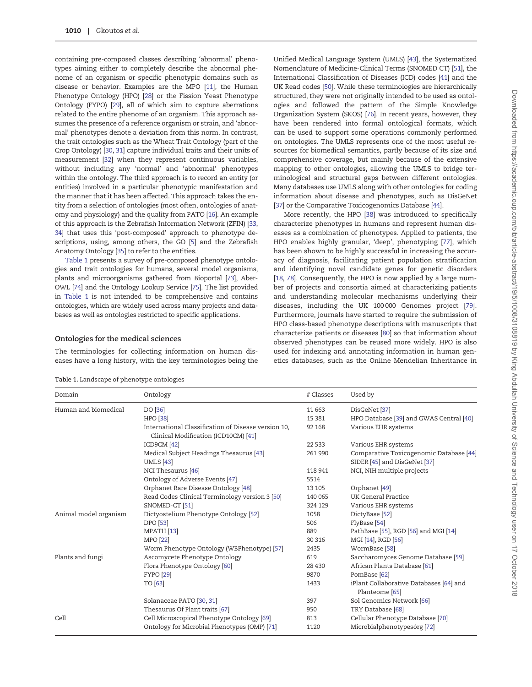<span id="page-2-0"></span>containing pre-composed classes describing 'abnormal' phenotypes aiming either to completely describe the abnormal phenome of an organism or specific phenotypic domains such as disease or behavior. Examples are the MPO [\[11](#page-10-0)], the Human Phenotype Ontology (HPO) [[28\]](#page-10-0) or the Fission Yeast Phenotype Ontology (FYPO) [[29\]](#page-10-0), all of which aim to capture aberrations related to the entire phenome of an organism. This approach assumes the presence of a reference organism or strain, and 'abnormal' phenotypes denote a deviation from this norm. In contrast, the trait ontologies such as the Wheat Trait Ontology (part of the Crop Ontology) [\[30](#page-10-0), [31\]](#page-10-0) capture individual traits and their units of measurement [\[32](#page-10-0)] when they represent continuous variables, without including any 'normal' and 'abnormal' phenotypes within the ontology. The third approach is to record an entity (or entities) involved in a particular phenotypic manifestation and the manner that it has been affected. This approach takes the entity from a selection of ontologies (most often, ontologies of anatomy and physiology) and the quality from PATO [[16\]](#page-10-0). An example of this approach is the Zebrafish Information Network (ZFIN) [\[33](#page-10-0), [34](#page-10-0)] that uses this 'post-composed' approach to phenotype descriptions, using, among others, the GO [[5\]](#page-10-0) and the Zebrafish Anatomy Ontology [\[35](#page-10-0)] to refer to the entities.

Table 1 presents a survey of pre-composed phenotype ontologies and trait ontologies for humans, several model organisms, plants and microorganisms gathered from Bioportal [[73\]](#page-11-0), Aber-OWL [\[74](#page-11-0)] and the Ontology Lookup Service [\[75](#page-11-0)]. The list provided in Table 1 is not intended to be comprehensive and contains ontologies, which are widely used across many projects and databases as well as ontologies restricted to specific applications.

#### Ontologies for the medical sciences

The terminologies for collecting information on human diseases have a long history, with the key terminologies being the

Unified Medical Language System (UMLS) [\[43](#page-10-0)], the Systematized Nomenclature of Medicine-Clinical Terms (SNOMED CT) [[51\]](#page-11-0), the International Classification of Diseases (ICD) codes [\[41](#page-10-0)] and the UK Read codes [\[50\]](#page-11-0). While these terminologies are hierarchically structured, they were not originally intended to be used as ontologies and followed the pattern of the Simple Knowledge Organization System (SKOS) [[76\]](#page-11-0). In recent years, however, they have been rendered into formal ontological formats, which can be used to support some operations commonly performed on ontologies. The UMLS represents one of the most useful resources for biomedical semantics, partly because of its size and comprehensive coverage, but mainly because of the extensive mapping to other ontologies, allowing the UMLS to bridge terminological and structural gaps between different ontologies. Many databases use UMLS along with other ontologies for coding information about disease and phenotypes, such as DisGeNet [\[37\]](#page-10-0) or the Comparative Toxicogenomics Database [[44\]](#page-10-0).

More recently, the HPO [[38\]](#page-10-0) was introduced to specifically characterize phenotypes in humans and represent human diseases as a combination of phenotypes. Applied to patients, the HPO enables highly granular, 'deep', phenotyping [\[77](#page-11-0)], which has been shown to be highly successful in increasing the accuracy of diagnosis, facilitating patient population stratification and identifying novel candidate genes for genetic disorders [\[18,](#page-10-0) [78\]](#page-11-0). Consequently, the HPO is now applied by a large number of projects and consortia aimed at characterizing patients and understanding molecular mechanisms underlying their diseases, including the UK 100 000 Genomes project [\[79\]](#page-11-0). Furthermore, journals have started to require the submission of HPO class-based phenotype descriptions with manuscripts that characterize patients or diseases [[80\]](#page-11-0) so that information about observed phenotypes can be reused more widely. HPO is also used for indexing and annotating information in human genetics databases, such as the Online Mendelian Inheritance in

|  |  | Table 1. Landscape of phenotype ontologies |
|--|--|--------------------------------------------|
|  |  |                                            |

| Domain                | Ontology                                                                                    | # Classes | Used by                                                                 |
|-----------------------|---------------------------------------------------------------------------------------------|-----------|-------------------------------------------------------------------------|
| Human and biomedical  | DO [36]                                                                                     | 11 663    | DisGeNet [37]                                                           |
|                       | HPO [38]                                                                                    | 15 3 8 1  | HPO Database [39] and GWAS Central [40]                                 |
|                       | International Classification of Disease version 10,<br>Clinical Modification (ICD10CM) [41] | 92 168    | Various EHR systems                                                     |
|                       | <b>ICD9CM</b> [42]                                                                          | 22 5 33   | Various EHR systems                                                     |
|                       | Medical Subject Headings Thesaurus [43]<br><b>UMLS</b> [43]                                 | 261 990   | Comparative Toxicogenomic Database [44]<br>SIDER [45] and DisGeNet [37] |
|                       | NCI Thesaurus [46]                                                                          | 118 941   | NCI, NIH multiple projects                                              |
|                       | Ontology of Adverse Events [47]                                                             | 5514      |                                                                         |
|                       | Orphanet Rare Disease Ontology [48]                                                         | 13 10 5   | Orphanet [49]                                                           |
|                       | Read Codes Clinical Terminology version 3 [50]                                              | 140 065   | UK General Practice                                                     |
|                       | SNOMED-CT [51]                                                                              | 324 129   | Various EHR systems                                                     |
| Animal model organism | Dictyostelium Phenotype Ontology [52]                                                       | 1058      | DictyBase [52]                                                          |
|                       | <b>DPO</b> [53]                                                                             | 506       | FlyBase [54]                                                            |
|                       | <b>MPATH [13]</b>                                                                           | 889       | PathBase [55], RGD [56] and MGI [14]                                    |
|                       | <b>MPO</b> [22]                                                                             | 30 316    | MGI [14], RGD [56]                                                      |
|                       | Worm Phenotype Ontology (WBPhenotype) [57]                                                  | 2435      | WormBase [58]                                                           |
| Plants and fungi      | Ascomycete Phenotype Ontology                                                               | 619       | Saccharomyces Genome Database [59]                                      |
|                       | Flora Phenotype Ontology [60]                                                               | 28 4 30   | African Plants Database [61]                                            |
|                       | <b>FYPO</b> [29]                                                                            | 9870      | PomBase [62]                                                            |
|                       | TO [63]                                                                                     | 1433      | iPlant Collaborative Databases [64] and<br>Planteome [65]               |
|                       | Solanaceae PATO [30, 31]                                                                    | 397       | Sol Genomics Network [66]                                               |
|                       | Thesaurus Of Plant traits [67]                                                              | 950       | TRY Database [68]                                                       |
| Cell                  | Cell Microscopical Phenotype Ontology [69]                                                  | 813       | Cellular Phenotype Database [70]                                        |
|                       | Ontology for Microbial Phenotypes (OMP) [71]                                                | 1120      | Microbialphenotypesorg [72]                                             |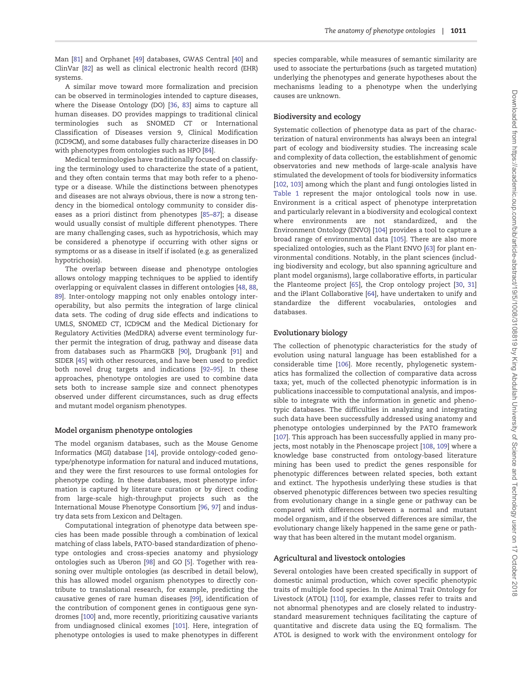Man [[81\]](#page-11-0) and Orphanet [[49\]](#page-11-0) databases, GWAS Central [\[40\]](#page-10-0) and ClinVar [[82\]](#page-11-0) as well as clinical electronic health record (EHR) systems.

A similar move toward more formalization and precision can be observed in terminologies intended to capture diseases, where the Disease Ontology (DO) [[36](#page-10-0), [83](#page-11-0)] aims to capture all human diseases. DO provides mappings to traditional clinical terminologies such as SNOMED CT or International Classification of Diseases version 9, Clinical Modification (ICD9CM), and some databases fully characterize diseases in DO with phenotypes from ontologies such as HPO [[84\]](#page-11-0).

Medical terminologies have traditionally focused on classifying the terminology used to characterize the state of a patient, and they often contain terms that may both refer to a phenotype or a disease. While the distinctions between phenotypes and diseases are not always obvious, there is now a strong tendency in the biomedical ontology community to consider diseases as a priori distinct from phenotypes [\[85–87\]](#page-11-0); a disease would usually consist of multiple different phenotypes. There are many challenging cases, such as hypotrichosis, which may be considered a phenotype if occurring with other signs or symptoms or as a disease in itself if isolated (e.g. as generalized hypotrichosis).

The overlap between disease and phenotype ontologies allows ontology mapping techniques to be applied to identify overlapping or equivalent classes in different ontologies [\[48,](#page-11-0) [88](#page-11-0), [89](#page-12-0)]. Inter-ontology mapping not only enables ontology interoperability, but also permits the integration of large clinical data sets. The coding of drug side effects and indications to UMLS, SNOMED CT, ICD9CM and the Medical Dictionary for Regulatory Activities (MedDRA) adverse event terminology further permit the integration of drug, pathway and disease data from databases such as PharmGKB [[90](#page-12-0)], Drugbank [[91](#page-12-0)] and SIDER [[45](#page-11-0)] with other resources, and have been used to predict both novel drug targets and indications [[92–95\]](#page-12-0). In these approaches, phenotype ontologies are used to combine data sets both to increase sample size and connect phenotypes observed under different circumstances, such as drug effects and mutant model organism phenotypes.

### Model organism phenotype ontologies

The model organism databases, such as the Mouse Genome Informatics (MGI) database [[14\]](#page-10-0), provide ontology-coded genotype/phenotype information for natural and induced mutations, and they were the first resources to use formal ontologies for phenotype coding. In these databases, most phenotype information is captured by literature curation or by direct coding from large-scale high-throughput projects such as the International Mouse Phenotype Consortium [[96,](#page-12-0) [97\]](#page-12-0) and industry data sets from Lexicon and Deltagen.

Computational integration of phenotype data between species has been made possible through a combination of lexical matching of class labels, PATO-based standardization of phenotype ontologies and cross-species anatomy and physiology ontologies such as Uberon [[98](#page-12-0)] and GO [\[5](#page-10-0)]. Together with reasoning over multiple ontologies (as described in detail below), this has allowed model organism phenotypes to directly contribute to translational research, for example, predicting the causative genes of rare human diseases [\[99](#page-12-0)], identification of the contribution of component genes in contiguous gene syndromes [[100\]](#page-12-0) and, more recently, prioritizing causative variants from undiagnosed clinical exomes [\[101\]](#page-12-0). Here, integration of phenotype ontologies is used to make phenotypes in different

species comparable, while measures of semantic similarity are used to associate the perturbations (such as targeted mutation) underlying the phenotypes and generate hypotheses about the mechanisms leading to a phenotype when the underlying causes are unknown.

#### Biodiversity and ecology

Systematic collection of phenotype data as part of the characterization of natural environments has always been an integral part of ecology and biodiversity studies. The increasing scale and complexity of data collection, the establishment of genomic observatories and new methods of large-scale analysis have stimulated the development of tools for biodiversity informatics [\[102,](#page-12-0) [103\]](#page-12-0) among which the plant and fungi ontologies listed in [Table 1](#page-2-0) represent the major ontological tools now in use. Environment is a critical aspect of phenotype interpretation and particularly relevant in a biodiversity and ecological context where environments are not standardized, and the Environment Ontology (ENVO) [\[104\]](#page-12-0) provides a tool to capture a broad range of environmental data [[105](#page-12-0)]. There are also more specialized ontologies, such as the Plant ENVO [\[63\]](#page-11-0) for plant environmental conditions. Notably, in the plant sciences (including biodiversity and ecology, but also spanning agriculture and plant model organisms), large collaborative efforts, in particular the Planteome project [[65](#page-11-0)], the Crop ontology project [[30,](#page-10-0) [31\]](#page-10-0) and the iPlant Collaborative [\[64](#page-11-0)], have undertaken to unify and standardize the different vocabularies, ontologies and databases.

#### Evolutionary biology

The collection of phenotypic characteristics for the study of evolution using natural language has been established for a considerable time [[106](#page-12-0)]. More recently, phylogenetic systematics has formalized the collection of comparative data across taxa; yet, much of the collected phenotypic information is in publications inaccessible to computational analysis, and impossible to integrate with the information in genetic and phenotypic databases. The difficulties in analyzing and integrating such data have been successfully addressed using anatomy and phenotype ontologies underpinned by the PATO framework [\[107\]](#page-12-0). This approach has been successfully applied in many projects, most notably in the Phenoscape project [\[108,](#page-12-0) [109](#page-12-0)] where a knowledge base constructed from ontology-based literature mining has been used to predict the genes responsible for phenotypic differences between related species, both extant and extinct. The hypothesis underlying these studies is that observed phenotypic differences between two species resulting from evolutionary change in a single gene or pathway can be compared with differences between a normal and mutant model organism, and if the observed differences are similar, the evolutionary change likely happened in the same gene or pathway that has been altered in the mutant model organism.

#### Agricultural and livestock ontologies

Several ontologies have been created specifically in support of domestic animal production, which cover specific phenotypic traits of multiple food species. In the Animal Trait Ontology for Livestock (ATOL) [[110](#page-12-0)], for example, classes refer to traits and not abnormal phenotypes and are closely related to industrystandard measurement techniques facilitating the capture of quantitative and discrete data using the EQ formalism. The ATOL is designed to work with the environment ontology for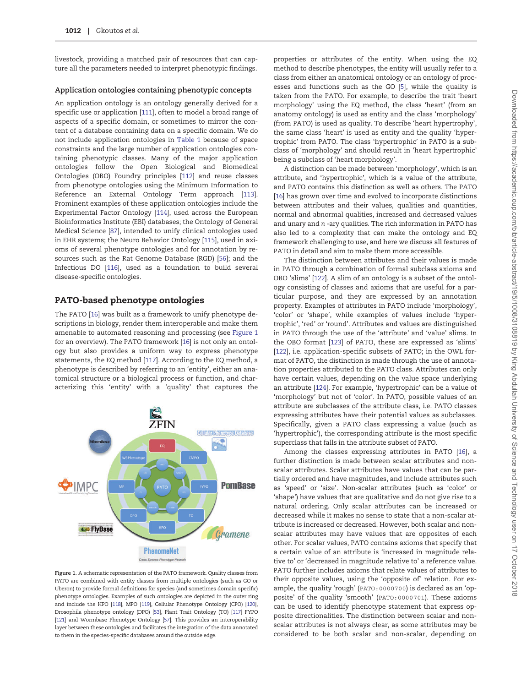livestock, providing a matched pair of resources that can capture all the parameters needed to interpret phenotypic findings.

#### Application ontologies containing phenotypic concepts

An application ontology is an ontology generally derived for a specific use or application [[111](#page-12-0)], often to model a broad range of aspects of a specific domain, or sometimes to mirror the content of a database containing data on a specific domain. We do not include application ontologies in [Table 1](#page-2-0) because of space constraints and the large number of application ontologies containing phenotypic classes. Many of the major application ontologies follow the Open Biological and Biomedical Ontologies (OBO) Foundry principles [\[112\]](#page-12-0) and reuse classes from phenotype ontologies using the Minimum Information to Reference an External Ontology Term approach [\[113\]](#page-12-0). Prominent examples of these application ontologies include the Experimental Factor Ontology [\[114\]](#page-12-0), used across the European Bioinformatics Institute (EBI) databases; the Ontology of General Medical Science [\[87](#page-11-0)], intended to unify clinical ontologies used in EHR systems; the Neuro Behavior Ontology [\[115](#page-12-0)], used in axioms of several phenotype ontologies and for annotation by resources such as the Rat Genome Database (RGD) [\[56\]](#page-11-0); and the Infectious DO [\[116\]](#page-12-0), used as a foundation to build several disease-specific ontologies.

## PATO-based phenotype ontologies

The PATO [[16\]](#page-10-0) was built as a framework to unify phenotype descriptions in biology, render them interoperable and make them amenable to automated reasoning and processing (see Figure 1 for an overview). The PATO framework [\[16](#page-10-0)] is not only an ontology but also provides a uniform way to express phenotype statements, the EQ method [\[117\]](#page-12-0). According to the EQ method, a phenotype is described by referring to an 'entity', either an anatomical structure or a biological process or function, and characterizing this 'entity' with a 'quality' that captures the



Figure 1. A schematic representation of the PATO framework. Quality classes from PATO are combined with entity classes from multiple ontologies (such as GO or Uberon) to provide formal definitions for species (and sometimes domain specific) phenotype ontologies. Examples of such ontologies are depicted in the outer ring and include the HPO [\[118](#page-12-0)], MPO [[119](#page-12-0)], Cellular Phenotype Ontology (CPO) [\[120\]](#page-12-0), Drosophila phenotype ontology (DPO) [\[53\]](#page-11-0), Plant Trait Ontology (TO) [\[117](#page-12-0)] FYPO [\[121](#page-12-0)] and Wormbase Phenotype Ontology [\[57](#page-11-0)]. This provides an interoperability layer between these ontologies and facilitates the integration of the data annotated to them in the species-specific databases around the outside edge.

properties or attributes of the entity. When using the EQ method to describe phenotypes, the entity will usually refer to a class from either an anatomical ontology or an ontology of processes and functions such as the GO [\[5](#page-10-0)], while the quality is taken from the PATO. For example, to describe the trait 'heart morphology' using the EQ method, the class 'heart' (from an anatomy ontology) is used as entity and the class 'morphology' (from PATO) is used as quality. To describe 'heart hypertrophy', the same class 'heart' is used as entity and the quality 'hypertrophic' from PATO. The class 'hypertrophic' in PATO is a subclass of 'morphology' and should result in 'heart hypertrophic' being a subclass of 'heart morphology'.

A distinction can be made between 'morphology', which is an attribute, and 'hypertrophic', which is a value of the attribute, and PATO contains this distinction as well as others. The PATO [\[16\]](#page-10-0) has grown over time and evolved to incorporate distinctions between attributes and their values, qualities and quantities, normal and abnormal qualities, increased and decreased values and unary and n -ary qualities. The rich information in PATO has also led to a complexity that can make the ontology and EQ framework challenging to use, and here we discuss all features of PATO in detail and aim to make them more accessible.

The distinction between attributes and their values is made in PATO through a combination of formal subclass axioms and OBO 'slims' [[122](#page-12-0)]. A slim of an ontology is a subset of the ontology consisting of classes and axioms that are useful for a particular purpose, and they are expressed by an annotation property. Examples of attributes in PATO include 'morphology', 'color' or 'shape', while examples of values include 'hypertrophic', 'red' or 'round'. Attributes and values are distinguished in PATO through the use of the 'attribute' and 'value' slims. In the OBO format [[123](#page-12-0)] of PATO, these are expressed as 'slims' [\[122\]](#page-12-0), i.e. application-specific subsets of PATO; in the OWL format of PATO, the distinction is made through the use of annotation properties attributed to the PATO class. Attributes can only have certain values, depending on the value space underlying an attribute [\[124\]](#page-12-0). For example, 'hypertrophic' can be a value of 'morphology' but not of 'color'. In PATO, possible values of an attribute are subclasses of the attribute class, i.e. PATO classes expressing attributes have their potential values as subclasses. Specifically, given a PATO class expressing a value (such as 'hypertrophic'), the corresponding attribute is the most specific superclass that falls in the attribute subset of PATO.

Among the classes expressing attributes in PATO [[16](#page-10-0)], a further distinction is made between scalar attributes and nonscalar attributes. Scalar attributes have values that can be partially ordered and have magnitudes, and include attributes such as 'speed' or 'size'. Non-scalar attributes (such as 'color' or 'shape') have values that are qualitative and do not give rise to a natural ordering. Only scalar attributes can be increased or decreased while it makes no sense to state that a non-scalar attribute is increased or decreased. However, both scalar and nonscalar attributes may have values that are opposites of each other. For scalar values, PATO contains axioms that specify that a certain value of an attribute is 'increased in magnitude relative to' or 'decreased in magnitude relative to' a reference value. PATO further includes axioms that relate values of attributes to their opposite values, using the 'opposite of' relation. For example, the quality 'rough' (PATO:0000700) is declared as an 'opposite' of the quality 'smooth' (PATO:0000701). These axioms can be used to identify phenotype statement that express opposite directionalities. The distinction between scalar and nonscalar attributes is not always clear, as some attributes may be considered to be both scalar and non-scalar, depending on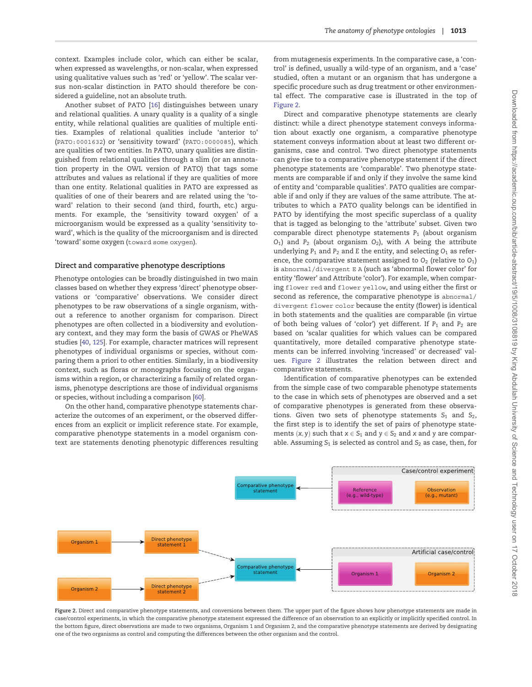context. Examples include color, which can either be scalar, when expressed as wavelengths, or non-scalar, when expressed using qualitative values such as 'red' or 'yellow'. The scalar versus non-scalar distinction in PATO should therefore be considered a guideline, not an absolute truth.

Another subset of PATO [[16](#page-10-0)] distinguishes between unary and relational qualities. A unary quality is a quality of a single entity, while relational qualities are qualities of multiple entities. Examples of relational qualities include 'anterior to' (PATO:0001632) or 'sensitivity toward' (PATO:0000085), which are qualities of two entities. In PATO, unary qualities are distinguished from relational qualities through a slim (or an annotation property in the OWL version of PATO) that tags some attributes and values as relational if they are qualities of more than one entity. Relational qualities in PATO are expressed as qualities of one of their bearers and are related using the 'toward' relation to their second (and third, fourth, etc.) arguments. For example, the 'sensitivity toward oxygen' of a microorganism would be expressed as a quality 'sensitivity toward', which is the quality of the microorganism and is directed 'toward' some oxygen (toward some oxygen).

### Direct and comparative phenotype descriptions

Phenotype ontologies can be broadly distinguished in two main classes based on whether they express 'direct' phenotype observations or 'comparative' observations. We consider direct phenotypes to be raw observations of a single organism, without a reference to another organism for comparison. Direct phenotypes are often collected in a biodiversity and evolutionary context, and they may form the basis of GWAS or PheWAS studies [\[40](#page-10-0), [125](#page-12-0)]. For example, character matrices will represent phenotypes of individual organisms or species, without comparing them a priori to other entities. Similarly, in a biodiversity context, such as floras or monographs focusing on the organisms within a region, or characterizing a family of related organisms, phenotype descriptions are those of individual organisms or species, without including a comparison [\[60\]](#page-11-0).

On the other hand, comparative phenotype statements characterize the outcomes of an experiment, or the observed differences from an explicit or implicit reference state. For example, comparative phenotype statements in a model organism context are statements denoting phenotypic differences resulting from mutagenesis experiments. In the comparative case, a 'control' is defined, usually a wild-type of an organism, and a 'case' studied, often a mutant or an organism that has undergone a specific procedure such as drug treatment or other environmental effect. The comparative case is illustrated in the top of Figure 2.

Direct and comparative phenotype statements are clearly distinct: while a direct phenotype statement conveys information about exactly one organism, a comparative phenotype statement conveys information about at least two different organisms, case and control. Two direct phenotype statements can give rise to a comparative phenotype statement if the direct phenotype statements are 'comparable'. Two phenotype statements are comparable if and only if they involve the same kind of entity and 'comparable qualities'. PATO qualities are comparable if and only if they are values of the same attribute. The attributes to which a PATO quality belongs can be identified in PATO by identifying the most specific superclass of a quality that is tagged as belonging to the 'attribute' subset. Given two comparable direct phenotype statements  $P_1$  (about organism  $O_1$ ) and  $P_2$  (about organism  $O_2$ ), with A being the attribute underlying  $P_1$  and  $P_2$  and E the entity, and selecting  $O_1$  as reference, the comparative statement assigned to  $O_2$  (relative to  $O_1$ ) is abnormal/divergent E A (such as 'abnormal flower color' for entity 'flower' and Attribute 'color'). For example, when comparing flower red and flower yellow, and using either the first or second as reference, the comparative phenotype is abnormal/ divergent flower color because the entity (flower) is identical in both statements and the qualities are comparable (in virtue of both being values of 'color') yet different. If  $P_1$  and  $P_2$  are based on 'scalar qualities for which values can be compared quantitatively, more detailed comparative phenotype statements can be inferred involving 'increased' or decreased' values. Figure 2 illustrates the relation between direct and comparative statements.

Identification of comparative phenotypes can be extended from the simple case of two comparable phenotype statements to the case in which sets of phenotypes are observed and a set of comparative phenotypes is generated from these observations. Given two sets of phenotype statements  $S_1$  and  $S_2$ , the first step is to identify the set of pairs of phenotype statements  $(x, y)$  such that  $x \in S_1$  and  $y \in S_2$  and x and y are comparable. Assuming  $S_1$  is selected as control and  $S_2$  as case, then, for



Figure 2. Direct and comparative phenotype statements, and conversions between them. The upper part of the figure shows how phenotype statements are made in case/control experiments, in which the comparative phenotype statement expressed the difference of an observation to an explicitly or implicitly specified control. In the bottom figure, direct observations are made to two organisms, Organism 1 and Organism 2, and the comparative phenotype statements are derived by designating one of the two organisms as control and computing the differences between the other organism and the control.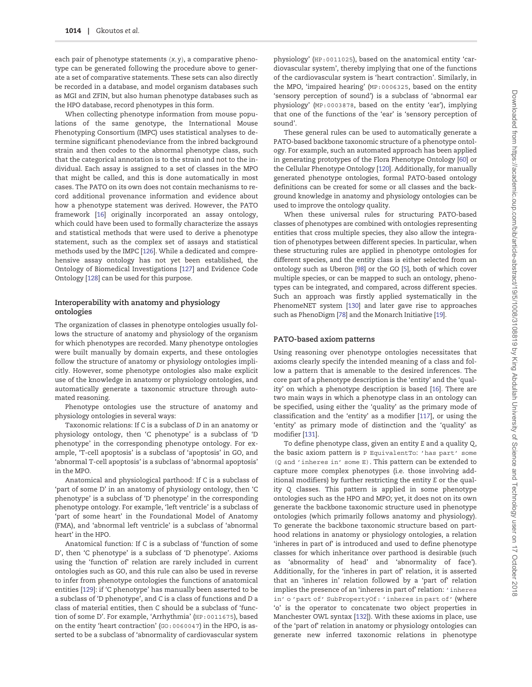each pair of phenotype statements  $(x, y)$ , a comparative phenotype can be generated following the procedure above to generate a set of comparative statements. These sets can also directly be recorded in a database, and model organism databases such as MGI and ZFIN, but also human phenotype databases such as the HPO database, record phenotypes in this form.

When collecting phenotype information from mouse populations of the same genotype, the International Mouse Phenotyping Consortium (IMPC) uses statistical analyses to determine significant phenodeviance from the inbred background strain and then codes to the abnormal phenotype class, such that the categorical annotation is to the strain and not to the individual. Each assay is assigned to a set of classes in the MPO that might be called, and this is done automatically in most cases. The PATO on its own does not contain mechanisms to record additional provenance information and evidence about how a phenotype statement was derived. However, the PATO framework [[16\]](#page-10-0) originally incorporated an assay ontology, which could have been used to formally characterize the assays and statistical methods that were used to derive a phenotype statement, such as the complex set of assays and statistical methods used by the IMPC [\[126\]](#page-12-0). While a dedicated and comprehensive assay ontology has not yet been established, the Ontology of Biomedical Investigations [\[127\]](#page-12-0) and Evidence Code Ontology [[128](#page-12-0)] can be used for this purpose.

## Interoperability with anatomy and physiology ontologies

The organization of classes in phenotype ontologies usually follows the structure of anatomy and physiology of the organism for which phenotypes are recorded. Many phenotype ontologies were built manually by domain experts, and these ontologies follow the structure of anatomy or physiology ontologies implicitly. However, some phenotype ontologies also make explicit use of the knowledge in anatomy or physiology ontologies, and automatically generate a taxonomic structure through automated reasoning.

Phenotype ontologies use the structure of anatomy and physiology ontologies in several ways:

Taxonomic relations: If C is a subclass of D in an anatomy or physiology ontology, then 'C phenotype' is a subclass of 'D phenotype' in the corresponding phenotype ontology. For example, 'T-cell apoptosis' is a subclass of 'apoptosis' in GO, and 'abnormal T-cell apoptosis' is a subclass of 'abnormal apoptosis' in the MPO.

Anatomical and physiological parthood: If C is a subclass of 'part of some D' in an anatomy of physiology ontology, then 'C phenotype' is a subclass of 'D phenotype' in the corresponding phenotype ontology. For example, 'left ventricle' is a subclass of 'part of some heart' in the Foundational Model of Anatomy (FMA), and 'abnormal left ventricle' is a subclass of 'abnormal heart' in the HPO.

Anatomical function: If C is a subclass of 'function of some D', then 'C phenotype' is a subclass of 'D phenotype'. Axioms using the 'function of' relation are rarely included in current ontologies such as GO, and this rule can also be used in reverse to infer from phenotype ontologies the functions of anatomical entities [\[129\]](#page-13-0): if 'C phenotype' has manually been asserted to be a subclass of 'D phenotype', and C is a class of functions and D a class of material entities, then C should be a subclass of 'function of some D'. For example, 'Arrhythmia' (HP:0011675), based on the entity 'heart contraction' (GO:0060047) in the HPO, is asserted to be a subclass of 'abnormality of cardiovascular system physiology' (HP:0011025), based on the anatomical entity 'cardiovascular system', thereby implying that one of the functions of the cardiovascular system is 'heart contraction'. Similarly, in the MPO, 'impaired hearing' (MP:0006325, based on the entity 'sensory perception of sound') is a subclass of 'abnormal ear physiology' (MP:0003878, based on the entity 'ear'), implying that one of the functions of the 'ear' is 'sensory perception of sound'.

These general rules can be used to automatically generate a PATO-based backbone taxonomic structure of a phenotype ontology. For example, such an automated approach has been applied in generating prototypes of the Flora Phenotype Ontology [[60\]](#page-11-0) or the Cellular Phenotype Ontology [[120](#page-12-0)]. Additionally, for manually generated phenotype ontologies, formal PATO-based ontology definitions can be created for some or all classes and the background knowledge in anatomy and physiology ontologies can be used to improve the ontology quality.

When these universal rules for structuring PATO-based classes of phenotypes are combined with ontologies representing entities that cross multiple species, they also allow the integration of phenotypes between different species. In particular, when these structuring rules are applied in phenotype ontologies for different species, and the entity class is either selected from an ontology such as Uberon [\[98](#page-12-0)] or the GO [[5\]](#page-10-0), both of which cover multiple species, or can be mapped to such an ontology, phenotypes can be integrated, and compared, across different species. Such an approach was firstly applied systematically in the PhenomeNET system [[130](#page-13-0)] and later gave rise to approaches such as PhenoDigm [\[78](#page-11-0)] and the Monarch Initiative [\[19](#page-10-0)].

#### PATO-based axiom patterns

Using reasoning over phenotype ontologies necessitates that axioms clearly specify the intended meaning of a class and follow a pattern that is amenable to the desired inferences. The core part of a phenotype description is the 'entity' and the 'quality' on which a phenotype description is based [\[16\]](#page-10-0). There are two main ways in which a phenotype class in an ontology can be specified, using either the 'quality' as the primary mode of classification and the 'entity' as a modifier [\[117\]](#page-12-0), or using the 'entity' as primary mode of distinction and the 'quality' as modifier [[131](#page-13-0)].

To define phenotype class, given an entity E and a quality Q, the basic axiom pattern is P EquivalentTo: 'has part' some (Q and 'inheres in' some E). This pattern can be extended to capture more complex phenotypes (i.e. those involving additional modifiers) by further restricting the entity E or the quality Q classes. This pattern is applied in some phenotype ontologies such as the HPO and MPO; yet, it does not on its own generate the backbone taxonomic structure used in phenotype ontologies (which primarily follows anatomy and physiology). To generate the backbone taxonomic structure based on parthood relations in anatomy or physiology ontologies, a relation 'inheres in part of' is introduced and used to define phenotype classes for which inheritance over parthood is desirable (such as 'abnormality of head' and 'abnormality of face'). Additionally, for the 'inheres in part of' relation, it is asserted that an 'inheres in' relation followed by a 'part of' relation implies the presence of an 'inheres in part of' relation: 'inheres in' o 'part of' SubPropertyOf: 'inheres in part of' (where 'o' is the operator to concatenate two object properties in Manchester OWL syntax [[132](#page-13-0)]). With these axioms in place, use of the 'part of' relation in anatomy or physiology ontologies can generate new inferred taxonomic relations in phenotype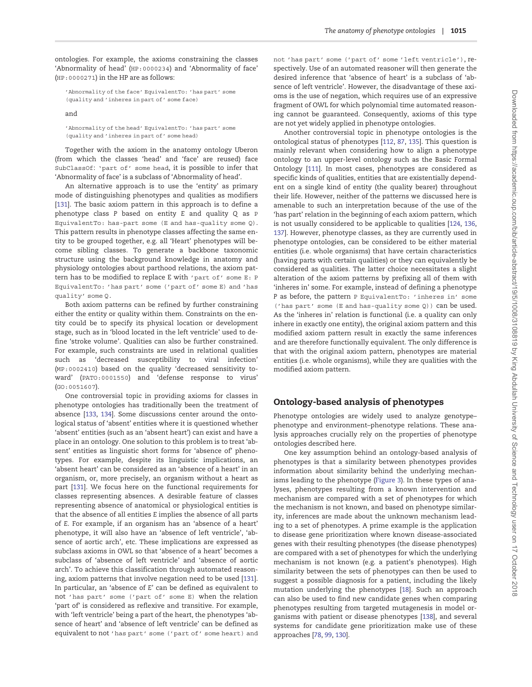ontologies. For example, the axioms constraining the classes 'Abnormality of head' (HP:0000234) and 'Abnormality of face' (HP:0000271) in the HP are as follows:

'Abnormality of the face' EquivalentTo: 'has part' some (quality and 'inheres in part of' some face)

and

'Abnormality of the head' EquivalentTo: 'has part' some (quality and 'inheres in part of' some head)

Together with the axiom in the anatomy ontology Uberon (from which the classes 'head' and 'face' are reused) face SubClassOf: 'part of' some head, it is possible to infer that 'Abnormality of face' is a subclass of 'Abnormality of head'.

An alternative approach is to use the 'entity' as primary mode of distinguishing phenotypes and qualities as modifiers [\[131\]](#page-13-0). The basic axiom pattern in this approach is to define a phenotype class P based on entity E and quality Q as P EquivalentTo: has-part some (E and has-quality some Q). This pattern results in phenotype classes affecting the same entity to be grouped together, e.g. all 'Heart' phenotypes will become sibling classes. To generate a backbone taxonomic structure using the background knowledge in anatomy and physiology ontologies about parthood relations, the axiom pattern has to be modified to replace E with 'part of' some E: P EquivalentTo: 'has part' some ('part of' some E) and 'has quality' some Q.

Both axiom patterns can be refined by further constraining either the entity or quality within them. Constraints on the entity could be to specify its physical location or development stage, such as in 'blood located in the left ventricle' used to define 'stroke volume'. Qualities can also be further constrained. For example, such constraints are used in relational qualities such as 'decreased susceptibility to viral infection' (MP:0002410) based on the quality 'decreased sensitivity toward' (PATO:0001550) and 'defense response to virus' (GO:0051607).

One controversial topic in providing axioms for classes in phenotype ontologies has traditionally been the treatment of absence [\[133,](#page-13-0) [134\]](#page-13-0). Some discussions center around the ontological status of 'absent' entities where it is questioned whether 'absent' entities (such as an 'absent heart') can exist and have a place in an ontology. One solution to this problem is to treat 'absent' entities as linguistic short forms for 'absence of' phenotypes. For example, despite its linguistic implications, an 'absent heart' can be considered as an 'absence of a heart' in an organism, or, more precisely, an organism without a heart as part [\[131\]](#page-13-0). We focus here on the functional requirements for classes representing absences. A desirable feature of classes representing absence of anatomical or physiological entities is that the absence of all entities E implies the absence of all parts of E. For example, if an organism has an 'absence of a heart' phenotype, it will also have an 'absence of left ventricle', 'absence of aortic arch', etc. These implications are expressed as subclass axioms in OWL so that 'absence of a heart' becomes a subclass of 'absence of left ventricle' and 'absence of aortic arch'. To achieve this classification through automated reasoning, axiom patterns that involve negation need to be used [\[131\]](#page-13-0). In particular, an 'absence of E' can be defined as equivalent to not 'has part' some ('part of' some E) when the relation 'part of' is considered as reflexive and transitive. For example, with 'left ventricle' being a part of the heart, the phenotypes 'absence of heart' and 'absence of left ventricle' can be defined as equivalent to not 'has part' some ('part of' some heart) and not 'has part' some ('part of' some 'left ventricle'), respectively. Use of an automated reasoner will then generate the desired inference that 'absence of heart' is a subclass of 'absence of left ventricle'. However, the disadvantage of these axioms is the use of negation, which requires use of an expressive fragment of OWL for which polynomial time automated reasoning cannot be guaranteed. Consequently, axioms of this type are not yet widely applied in phenotype ontologies.

Another controversial topic in phenotype ontologies is the ontological status of phenotypes [[112](#page-12-0), [87](#page-11-0), [135\]](#page-13-0). This question is mainly relevant when considering how to align a phenotype ontology to an upper-level ontology such as the Basic Formal Ontology [[111\]](#page-12-0). In most cases, phenotypes are considered as specific kinds of qualities, entities that are existentially dependent on a single kind of entity (the quality bearer) throughout their life. However, neither of the patterns we discussed here is amenable to such an interpretation because of the use of the 'has part' relation in the beginning of each axiom pattern, which is not usually considered to be applicable to qualities [[124](#page-12-0), [136](#page-13-0), [137\]](#page-13-0). However, phenotype classes, as they are currently used in phenotype ontologies, can be considered to be either material entities (i.e. whole organisms) that have certain characteristics (having parts with certain qualities) or they can equivalently be considered as qualities. The latter choice necessitates a slight alteration of the axiom patterns by prefixing all of them with 'inheres in' some. For example, instead of defining a phenotype P as before, the pattern P EquivalentTo: 'inheres in' some ('has part' some (E and has-quality some Q)) can be used. As the 'inheres in' relation is functional (i.e. a quality can only inhere in exactly one entity), the original axiom pattern and this modified axiom pattern result in exactly the same inferences and are therefore functionally equivalent. The only difference is that with the original axiom pattern, phenotypes are material entities (i.e. whole organisms), while they are qualities with the modified axiom pattern.

# Ontology-based analysis of phenotypes

Phenotype ontologies are widely used to analyze genotype– phenotype and environment–phenotype relations. These analysis approaches crucially rely on the properties of phenotype ontologies described here.

One key assumption behind an ontology-based analysis of phenotypes is that a similarity between phenotypes provides information about similarity behind the underlying mechanisms leading to the phenotype [\(Figure 3\)](#page-8-0). In these types of analyses, phenotypes resulting from a known intervention and mechanism are compared with a set of phenotypes for which the mechanism is not known, and based on phenotype similarity, inferences are made about the unknown mechanism leading to a set of phenotypes. A prime example is the application to disease gene prioritization where known disease-associated genes with their resulting phenotypes (the disease phenotypes) are compared with a set of phenotypes for which the underlying mechanism is not known (e.g. a patient's phenotypes). High similarity between the sets of phenotypes can then be used to suggest a possible diagnosis for a patient, including the likely mutation underlying the phenotypes [[18](#page-10-0)]. Such an approach can also be used to find new candidate genes when comparing phenotypes resulting from targeted mutagenesis in model organisms with patient or disease phenotypes [\[138\]](#page-13-0), and several systems for candidate gene prioritization make use of these approaches [[78,](#page-11-0) [99](#page-12-0), [130](#page-13-0)].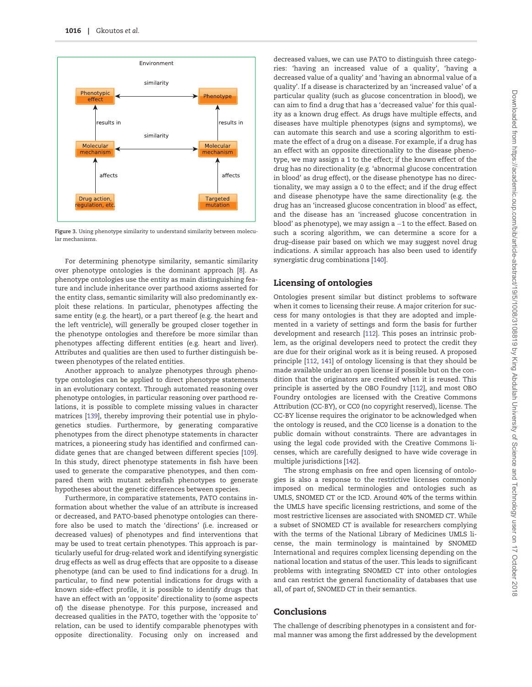<span id="page-8-0"></span>

Figure 3. Using phenotype similarity to understand similarity between molecular mechanisms.

For determining phenotype similarity, semantic similarity over phenotype ontologies is the dominant approach [\[8](#page-10-0)]. As phenotype ontologies use the entity as main distinguishing feature and include inheritance over parthood axioms asserted for the entity class, semantic similarity will also predominantly exploit these relations. In particular, phenotypes affecting the same entity (e.g. the heart), or a part thereof (e.g. the heart and the left ventricle), will generally be grouped closer together in the phenotype ontologies and therefore be more similar than phenotypes affecting different entities (e.g. heart and liver). Attributes and qualities are then used to further distinguish between phenotypes of the related entities.

Another approach to analyze phenotypes through phenotype ontologies can be applied to direct phenotype statements in an evolutionary context. Through automated reasoning over phenotype ontologies, in particular reasoning over parthood relations, it is possible to complete missing values in character matrices [\[139\]](#page-13-0), thereby improving their potential use in phylogenetics studies. Furthermore, by generating comparative phenotypes from the direct phenotype statements in character matrices, a pioneering study has identified and confirmed candidate genes that are changed between different species [\[109\]](#page-12-0). In this study, direct phenotype statements in fish have been used to generate the comparative phenotypes, and then compared them with mutant zebrafish phenotypes to generate hypotheses about the genetic differences between species.

Furthermore, in comparative statements, PATO contains information about whether the value of an attribute is increased or decreased, and PATO-based phenotype ontologies can therefore also be used to match the 'directions' (i.e. increased or decreased values) of phenotypes and find interventions that may be used to treat certain phenotypes. This approach is particularly useful for drug-related work and identifying synergistic drug effects as well as drug effects that are opposite to a disease phenotype (and can be used to find indications for a drug). In particular, to find new potential indications for drugs with a known side-effect profile, it is possible to identify drugs that have an effect with an 'opposite' directionality to (some aspects of) the disease phenotype. For this purpose, increased and decreased qualities in the PATO, together with the 'opposite to' relation, can be used to identify comparable phenotypes with opposite directionality. Focusing only on increased and decreased values, we can use PATO to distinguish three categories: 'having an increased value of a quality', 'having a decreased value of a quality' and 'having an abnormal value of a quality'. If a disease is characterized by an 'increased value' of a particular quality (such as glucose concentration in blood), we can aim to find a drug that has a 'decreased value' for this quality as a known drug effect. As drugs have multiple effects, and diseases have multiple phenotypes (signs and symptoms), we can automate this search and use a scoring algorithm to estimate the effect of a drug on a disease. For example, if a drug has an effect with an opposite directionality to the disease phenotype, we may assign a 1 to the effect; if the known effect of the drug has no directionality (e.g. 'abnormal glucose concentration in blood' as drug effect), or the disease phenotype has no directionality, we may assign a 0 to the effect; and if the drug effect and disease phenotype have the same directionality (e.g. the drug has an 'increased glucose concentration in blood' as effect, and the disease has an 'increased glucose concentration in blood' as phenotype), we may assign a –1 to the effect. Based on such a scoring algorithm, we can determine a score for a drug–disease pair based on which we may suggest novel drug indications. A similar approach has also been used to identify synergistic drug combinations [[140](#page-13-0)].

## Licensing of ontologies

Ontologies present similar but distinct problems to software when it comes to licensing their reuse. A major criterion for success for many ontologies is that they are adopted and implemented in a variety of settings and form the basis for further development and research [\[112\]](#page-12-0). This poses an intrinsic problem, as the original developers need to protect the credit they are due for their original work as it is being reused. A proposed principle [[112](#page-12-0), [141](#page-13-0)] of ontology licensing is that they should be made available under an open license if possible but on the condition that the originators are credited when it is reused. This principle is asserted by the OBO Foundry [[112](#page-12-0)], and most OBO Foundry ontologies are licensed with the Creative Commons Attribution (CC-BY), or CC0 (no copyright reserved), license. The CC-BY license requires the originator to be acknowledged when the ontology is reused, and the CC0 license is a donation to the public domain without constraints. There are advantages in using the legal code provided with the Creative Commons licenses, which are carefully designed to have wide coverage in multiple jurisdictions [\[142\]](#page-13-0).

The strong emphasis on free and open licensing of ontologies is also a response to the restrictive licenses commonly imposed on medical terminologies and ontologies such as UMLS, SNOMED CT or the ICD. Around 40% of the terms within the UMLS have specific licensing restrictions, and some of the most restrictive licenses are associated with SNOMED CT. While a subset of SNOMED CT is available for researchers complying with the terms of the National Library of Medicines UMLS license, the main terminology is maintained by SNOMED International and requires complex licensing depending on the national location and status of the user. This leads to significant problems with integrating SNOMED CT into other ontologies and can restrict the general functionality of databases that use all, of part of, SNOMED CT in their semantics.

# Conclusions

The challenge of describing phenotypes in a consistent and formal manner was among the first addressed by the development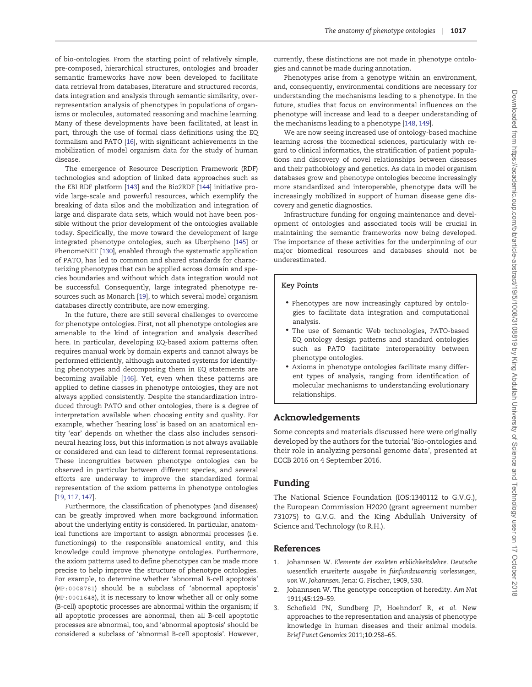<span id="page-9-0"></span>of bio-ontologies. From the starting point of relatively simple, pre-composed, hierarchical structures, ontologies and broader semantic frameworks have now been developed to facilitate data retrieval from databases, literature and structured records, data integration and analysis through semantic similarity, overrepresentation analysis of phenotypes in populations of organisms or molecules, automated reasoning and machine learning. Many of these developments have been facilitated, at least in part, through the use of formal class definitions using the EQ formalism and PATO [[16\]](#page-10-0), with significant achievements in the mobilization of model organism data for the study of human disease.

The emergence of Resource Description Framework (RDF) technologies and adoption of linked data approaches such as the EBI RDF platform [[143](#page-13-0)] and the Bio2RDF [\[144\]](#page-13-0) initiative provide large-scale and powerful resources, which exemplify the breaking of data silos and the mobilization and integration of large and disparate data sets, which would not have been possible without the prior development of the ontologies available today. Specifically, the move toward the development of large integrated phenotype ontologies, such as Uberpheno [\[145](#page-13-0)] or PhenomeNET [[130\]](#page-13-0), enabled through the systematic application of PATO, has led to common and shared standards for characterizing phenotypes that can be applied across domain and species boundaries and without which data integration would not be successful. Consequently, large integrated phenotype resources such as Monarch [[19](#page-10-0)], to which several model organism databases directly contribute, are now emerging.

In the future, there are still several challenges to overcome for phenotype ontologies. First, not all phenotype ontologies are amenable to the kind of integration and analysis described here. In particular, developing EQ-based axiom patterns often requires manual work by domain experts and cannot always be performed efficiently, although automated systems for identifying phenotypes and decomposing them in EQ statements are becoming available [[146](#page-13-0)]. Yet, even when these patterns are applied to define classes in phenotype ontologies, they are not always applied consistently. Despite the standardization introduced through PATO and other ontologies, there is a degree of interpretation available when choosing entity and quality. For example, whether 'hearing loss' is based on an anatomical entity 'ear' depends on whether the class also includes sensorineural hearing loss, but this information is not always available or considered and can lead to different formal representations. These incongruities between phenotype ontologies can be observed in particular between different species, and several efforts are underway to improve the standardized formal representation of the axiom patterns in phenotype ontologies [\[19,](#page-10-0) [117](#page-12-0), [147](#page-13-0)].

Furthermore, the classification of phenotypes (and diseases) can be greatly improved when more background information about the underlying entity is considered. In particular, anatomical functions are important to assign abnormal processes (i.e. functionings) to the responsible anatomical entity, and this knowledge could improve phenotype ontologies. Furthermore, the axiom patterns used to define phenotypes can be made more precise to help improve the structure of phenotype ontologies. For example, to determine whether 'abnormal B-cell apoptosis' (MP:0008781) should be a subclass of 'abnormal apoptosis' (MP:0001648), it is necessary to know whether all or only some (B-cell) apoptotic processes are abnormal within the organism; if all apoptotic processes are abnormal, then all B-cell apoptotic processes are abnormal, too, and 'abnormal apoptosis' should be considered a subclass of 'abnormal B-cell apoptosis'. However,

currently, these distinctions are not made in phenotype ontologies and cannot be made during annotation.

Phenotypes arise from a genotype within an environment, and, consequently, environmental conditions are necessary for understanding the mechanisms leading to a phenotype. In the future, studies that focus on environmental influences on the phenotype will increase and lead to a deeper understanding of the mechanisms leading to a phenotype [[148](#page-13-0), [149\]](#page-13-0).

We are now seeing increased use of ontology-based machine learning across the biomedical sciences, particularly with regard to clinical informatics, the stratification of patient populations and discovery of novel relationships between diseases and their pathobiology and genetics. As data in model organism databases grow and phenotype ontologies become increasingly more standardized and interoperable, phenotype data will be increasingly mobilized in support of human disease gene discovery and genetic diagnostics.

Infrastructure funding for ongoing maintenance and development of ontologies and associated tools will be crucial in maintaining the semantic frameworks now being developed. The importance of these activities for the underpinning of our major biomedical resources and databases should not be underestimated.

## Key Points

- Phenotypes are now increasingly captured by ontologies to facilitate data integration and computational analysis.
- The use of Semantic Web technologies, PATO-based EQ ontology design patterns and standard ontologies such as PATO facilitate interoperability between phenotype ontologies.
- Axioms in phenotype ontologies facilitate many different types of analysis, ranging from identification of molecular mechanisms to understanding evolutionary relationships.

## Acknowledgements

Some concepts and materials discussed here were originally developed by the authors for the tutorial 'Bio-ontologies and their role in analyzing personal genome data', presented at ECCB 2016 on 4 September 2016.

## Funding

The National Science Foundation (IOS:1340112 to G.V.G.), the European Commission H2020 (grant agreement number 731075) to G.V.G. and the King Abdullah University of Science and Technology (to R.H.).

## References

- 1. Johannsen W. Elemente der exakten erblichkeitslehre. Deutsche wesentlich erweiterte ausgabe in fünfundzwanzig vorlesungen, von W. Johannsen. Jena: G. Fischer, 1909, 530.
- 2. Johannsen W. The genotype conception of heredity. Am Nat 1911;45:129–59.
- 3. Schofield PN, Sundberg JP, Hoehndorf R, et al. New approaches to the representation and analysis of phenotype knowledge in human diseases and their animal models. Brief Funct Genomics 2011;10:258–65.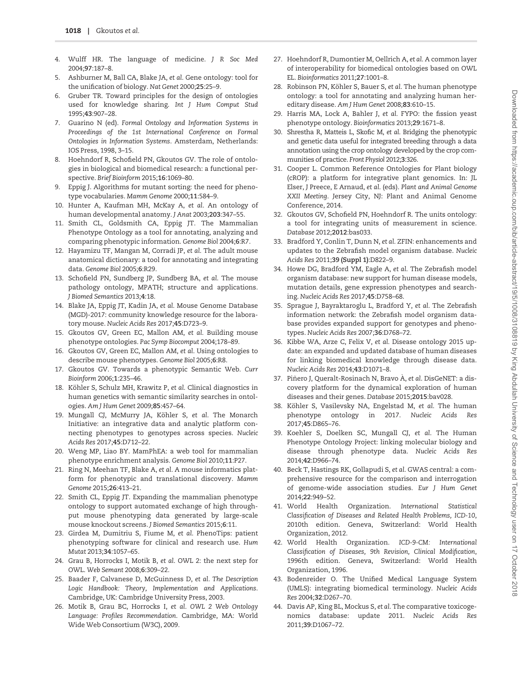- <span id="page-10-0"></span>4. Wulff HR. The language of medicine. J R Soc Med 2004;97:187–8.
- 5. Ashburner M, Ball CA, Blake JA, et al. Gene ontology: tool for the unification of biology. Nat Genet 2000;25:25–9.
- 6. Gruber TR. Toward principles for the design of ontologies used for knowledge sharing. Int J Hum Comput Stud 1995;43:907–28.
- 7. Guarino N (ed). Formal Ontology and Information Systems in Proceedings of the 1st International Conference on Formal Ontologies in Information Systems. Amsterdam, Netherlands: IOS Press, 1998, 3–15.
- 8. Hoehndorf R, Schofield PN, Gkoutos GV. The role of ontologies in biological and biomedical research: a functional perspective. Brief Bioinform 2015;16:1069–80.
- 9. Eppig J. Algorithms for mutant sorting: the need for phenotype vocabularies. Mamm Genome 2000;11:584–9.
- 10. Hunter A, Kaufman MH, McKay A, et al. An ontology of human developmental anatomy. J Anat 2003;203:347–55.
- 11. Smith CL, Goldsmith CA, Eppig JT. The Mammalian Phenotype Ontology as a tool for annotating, analyzing and comparing phenotypic information. Genome Biol 2004;6:R7.
- 12. Hayamizu TF, Mangan M, Corradi JP, et al. The adult mouse anatomical dictionary: a tool for annotating and integrating data. Genome Biol 2005;6:R29.
- 13. Schofield PN, Sundberg JP, Sundberg BA, et al. The mouse pathology ontology, MPATH; structure and applications. J Biomed Semantics 2013;4:18.
- 14. Blake JA, Eppig JT, Kadin JA, et al. Mouse Genome Database (MGD)-2017: community knowledge resource for the laboratory mouse. Nucleic Acids Res 2017;45:D723–9.
- 15. Gkoutos GV, Green EC, Mallon AM, et al. Building mouse phenotype ontologies. Pac Symp Biocomput 2004;178–89.
- 16. Gkoutos GV, Green EC, Mallon AM, et al. Using ontologies to describe mouse phenotypes. Genome Biol 2005;6:R8.
- 17. Gkoutos GV. Towards a phenotypic Semantic Web. Curr Bioinform 2006;1:235–46.
- 18. Köhler S, Schulz MH, Krawitz P, et al. Clinical diagnostics in human genetics with semantic similarity searches in ontologies. Am J Hum Genet 2009;85:457–64.
- 19. Mungall CJ, McMurry JA, Köhler S, et al. The Monarch Initiative: an integrative data and analytic platform connecting phenotypes to genotypes across species. Nucleic Acids Res 2017;45:D712–22.
- 20. Weng MP, Liao BY. MamPhEA: a web tool for mammalian phenotype enrichment analysis. Genome Biol 2010;11:P27.
- 21. Ring N, Meehan TF, Blake A, et al. A mouse informatics platform for phenotypic and translational discovery. Mamm Genome 2015;26:413–21.
- 22. Smith CL, Eppig JT. Expanding the mammalian phenotype ontology to support automated exchange of high throughput mouse phenotyping data generated by large-scale mouse knockout screens. J Biomed Semantics 2015;6:11.
- 23. Girdea M, Dumitriu S, Fiume M, et al. PhenoTips: patient phenotyping software for clinical and research use. Hum Mutat 2013;34:1057–65.
- 24. Grau B, Horrocks I, Motik B, et al. OWL 2: the next step for OWL. Web Semant 2008;6:309–22.
- 25. Baader F, Calvanese D, McGuinness D, et al. The Description Logic Handbook: Theory, Implementation and Applications. Cambridge, UK: Cambridge University Press, 2003.
- 26. Motik B, Grau BC, Horrocks I, et al. OWL 2 Web Ontology Language: Profiles Recommendation. Cambridge, MA: World Wide Web Consortium (W3C), 2009.
- 27. Hoehndorf R, Dumontier M, Oellrich A, et al. A common layer of interoperability for biomedical ontologies based on OWL EL. Bioinformatics 2011;27:1001–8.
- 28. Robinson PN, Köhler S, Bauer S, et al. The human phenotype ontology: a tool for annotating and analyzing human hereditary disease. Am J Hum Genet 2008;83:610–15.
- 29. Harris MA, Lock A, Bahler J, et al. FYPO: the fission yeast phenotype ontology. Bioinformatics 2013;29:1671–8.
- 30. Shrestha R, Matteis L, Skofic M, et al. Bridging the phenotypic and genetic data useful for integrated breeding through a data annotation using the crop ontology developed by the crop communities of practice. Front Physiol 2012;3:326.
- 31. Cooper L. Common Reference Ontologies for Plant biology (cROP): a platform for integrative plant genomics. In: JL Elser, J Preece, E Arnaud, et al. (eds). Plant and Animal Genome XXII Meeting. Jersey City, NJ: Plant and Animal Genome Conference, 2014.
- 32. Gkoutos GV, Schofield PN, Hoehndorf R. The units ontology: a tool for integrating units of measurement in science. Database 2012;2012:bas033.
- 33. Bradford Y, Conlin T, Dunn N, et al. ZFIN: enhancements and updates to the Zebrafish model organism database. Nucleic Acids Res 2011;39 (Suppl 1):D822–9.
- 34. Howe DG, Bradford YM, Eagle A, et al. The Zebrafish model organism database: new support for human disease models, mutation details, gene expression phenotypes and searching. Nucleic Acids Res 2017;45:D758–68.
- 35. Sprague J, Bayraktaroglu L, Bradford Y, et al. The Zebrafish information network: the Zebrafish model organism database provides expanded support for genotypes and phenotypes. Nucleic Acids Res 2007;36:D768–72.
- 36. Kibbe WA, Arze C, Felix V, et al. Disease ontology 2015 update: an expanded and updated database of human diseases for linking biomedical knowledge through disease data. Nucleic Acids Res 2014;43:D1071–8.
- 37. Piñero J, Queralt-Rosinach N, Bravo À, et al. DisGeNET: a discovery platform for the dynamical exploration of human diseases and their genes. Database 2015;2015:bav028.
- 38. Köhler S, Vasilevsky NA, Engelstad M, et al. The human phenotype ontology in 2017. Nucleic Acids Res 2017;45:D865–76.
- 39. Koehler S, Doelken SC, Mungall CJ, et al. The Human Phenotype Ontology Project: linking molecular biology and disease through phenotype data. Nucleic Acids Res 2014;42:D966–74.
- 40. Beck T, Hastings RK, Gollapudi S, et al. GWAS central: a comprehensive resource for the comparison and interrogation of genome-wide association studies. Eur J Hum Genet 2014;22:949–52.
- 41. World Health Organization. International Statistical Classification of Diseases and Related Health Problems, ICD-10, 2010th edition. Geneva, Switzerland: World Health Organization, 2012.
- 42. World Health Organization. ICD-9-CM: International Classification of Diseases, 9th Revision, Clinical Modification, 1996th edition. Geneva, Switzerland: World Health Organization, 1996.
- 43. Bodenreider O. The Unified Medical Language System (UMLS): integrating biomedical terminology. Nucleic Acids Res 2004;32:D267–70.
- 44. Davis AP, King BL, Mockus S, et al. The comparative toxicogenomics database: update 2011. Nucleic Acids Res 2011;39:D1067–72.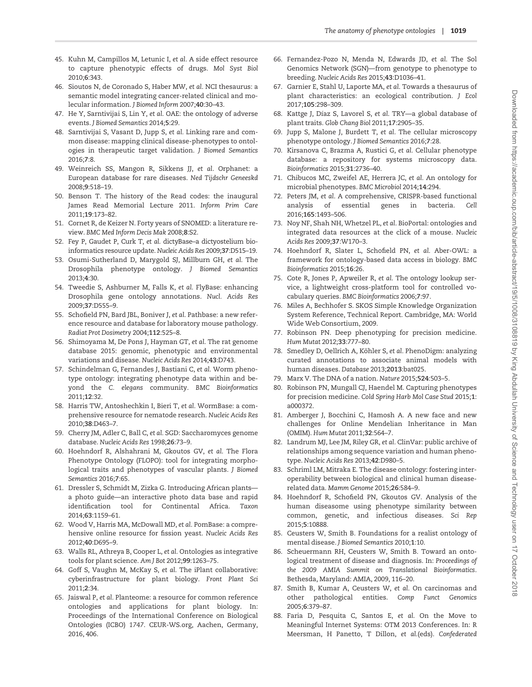- <span id="page-11-0"></span>45. Kuhn M, Campillos M, Letunic I, et al. A side effect resource to capture phenotypic effects of drugs. Mol Syst Biol 2010;6:343.
- 46. Sioutos N, de Coronado S, Haber MW, et al. NCI thesaurus: a semantic model integrating cancer-related clinical and molecular information. J Biomed Inform 2007;40:30–43.
- 47. He Y, Sarntivijai S, Lin Y, et al. OAE: the ontology of adverse events. J Biomed Semantics 2014;5:29.
- 48. Sarntivijai S, Vasant D, Jupp S, et al. Linking rare and common disease: mapping clinical disease-phenotypes to ontologies in therapeutic target validation. J Biomed Semantics 2016;7:8.
- 49. Weinreich SS, Mangon R, Sikkens JJ, et al. Orphanet: a European database for rare diseases. Ned Tijdschr Geneeskd 2008;9:518–19.
- 50. Benson T. The history of the Read codes: the inaugural James Read Memorial Lecture 2011. Inform Prim Care 2011;19:173–82.
- 51. Cornet R, de Keizer N. Forty years of SNOMED: a literature review. BMC Med Inform Decis Mak 2008;8:S2.
- 52. Fey P, Gaudet P, Curk T, et al. dictyBase–a dictyostelium bioinformatics resource update. Nucleic Acids Res 2009;37:D515–19.
- 53. Osumi-Sutherland D, Marygold SJ, Millburn GH, et al. The Drosophila phenotype ontology. J Biomed Semantics 2013;4:30.
- 54. Tweedie S, Ashburner M, Falls K, et al. FlyBase: enhancing Drosophila gene ontology annotations. Nucl. Acids Res 2009;37:D555–9.
- 55. Schofield PN, Bard JBL, Boniver J, et al. Pathbase: a new reference resource and database for laboratory mouse pathology. Radiat Prot Dosimetry 2004;112:525–8.
- 56. Shimoyama M, De Pons J, Hayman GT, et al. The rat genome database 2015: genomic, phenotypic and environmental variations and disease. Nucleic Acids Res 2014;43:D743.
- 57. Schindelman G, Fernandes J, Bastiani C, et al. Worm phenotype ontology: integrating phenotype data within and beyond the C. elegans community. BMC Bioinformatics 2011;12:32.
- 58. Harris TW, Antoshechkin I, Bieri T, et al. WormBase: a comprehensive resource for nematode research. Nucleic Acids Res 2010;38:D463–7.
- 59. Cherry JM, Adler C, Ball C, et al. SGD: Saccharomyces genome database. Nucleic Acids Res 1998;26:73–9.
- 60. Hoehndorf R, Alshahrani M, Gkoutos GV, et al. The Flora Phenotype Ontology (FLOPO): tool for integrating morphological traits and phenotypes of vascular plants. J Biomed Semantics 2016;7:65.
- 61. Dressler S, Schmidt M, Zizka G. Introducing African plants a photo guide—an interactive photo data base and rapid identification tool for Continental Africa. Taxon 2014;63:1159–61.
- 62. Wood V, Harris MA, McDowall MD, et al. PomBase: a comprehensive online resource for fission yeast. Nucleic Acids Res 2012;40:D695–9.
- 63. Walls RL, Athreya B, Cooper L, et al. Ontologies as integrative tools for plant science. Am J Bot 2012;99:1263–75.
- 64. Goff S, Vaughn M, McKay S, et al. The iPlant collaborative: cyberinfrastructure for plant biology. Front Plant Sci 2011;2:34.
- 65. Jaiswal P, et al. Planteome: a resource for common reference ontologies and applications for plant biology. In: Proceedings of the International Conference on Biological Ontologies (ICBO) 1747. CEUR-WS.org, Aachen, Germany, 2016, 406.
- 66. Fernandez-Pozo N, Menda N, Edwards JD, et al. The Sol Genomics Network (SGN)—from genotype to phenotype to breeding. Nucleic Acids Res 2015;43:D1036–41.
- 67. Garnier E, Stahl U, Laporte MA, et al. Towards a thesaurus of plant characteristics: an ecological contribution. J Ecol 2017;105:298–309.
- 68. Kattge J, Díaz S, Lavorel S, et al. TRY-a global database of plant traits. Glob Chang Biol 2011;17:2905–35.
- 69. Jupp S, Malone J, Burdett T, et al. The cellular microscopy phenotype ontology. J Biomed Semantics 2016;7:28.
- 70. Kirsanova C, Brazma A, Rustici G, et al. Cellular phenotype database: a repository for systems microscopy data. Bioinformatics 2015;31:2736–40.
- 71. Chibucos MC, Zweifel AE, Herrera JC, et al. An ontology for microbial phenotypes. BMC Microbiol 2014;14:294.
- 72. Peters JM, et al. A comprehensive, CRISPR-based functional analysis of essential genes in bacteria. Cell 2016;165:1493–506.
- 73. Noy NF, Shah NH, Whetzel PL, et al. BioPortal: ontologies and integrated data resources at the click of a mouse. Nucleic Acids Res 2009;37:W170–3.
- 74. Hoehndorf R, Slater L, Schofield PN, et al. Aber-OWL: a framework for ontology-based data access in biology. BMC Bioinformatics 2015;16:26.
- 75. Cote R, Jones P, Apweiler R, et al. The ontology lookup service, a lightweight cross-platform tool for controlled vocabulary queries. BMC Bioinformatics 2006;7:97.
- 76. Miles A, Bechhofer S. SKOS Simple Knowledge Organization System Reference, Technical Report. Cambridge, MA: World Wide Web Consortium, 2009.
- 77. Robinson PN. Deep phenotyping for precision medicine. Hum Mutat 2012;33:777–80.
- 78. Smedley D, Oellrich A, Köhler S, et al. PhenoDigm: analyzing curated annotations to associate animal models with human diseases. Database 2013;2013:bat025.
- 79. Marx V. The DNA of a nation. Nature 2015;524:503–5.
- 80. Robinson PN, Mungall CJ, Haendel M. Capturing phenotypes for precision medicine. Cold Spring Harb Mol Case Stud 2015;1: a000372.
- 81. Amberger J, Bocchini C, Hamosh A. A new face and new challenges for Online Mendelian Inheritance in Man (OMIM). Hum Mutat 2011;32:564–7.
- 82. Landrum MJ, Lee JM, Riley GR, et al. ClinVar: public archive of relationships among sequence variation and human phenotype. Nucleic Acids Res 2013;42:D980–5.
- 83. Schriml LM, Mitraka E. The disease ontology: fostering interoperability between biological and clinical human diseaserelated data. Mamm Genome 2015;26:584–9.
- 84. Hoehndorf R, Schofield PN, Gkoutos GV. Analysis of the human diseasome using phenotype similarity between common, genetic, and infectious diseases. Sci Rep 2015;5:10888.
- 85. Ceusters W, Smith B. Foundations for a realist ontology of mental disease. J Biomed Semantics 2010;1:10.
- 86. Scheuermann RH, Ceusters W, Smith B. Toward an ontological treatment of disease and diagnosis. In: Proceedings of the 2009 AMIA Summit on Translational Bioinformatics. Bethesda, Maryland: AMIA, 2009, 116–20.
- 87. Smith B, Kumar A, Ceusters W, et al. On carcinomas and other pathological entities. Comp Funct Genomics 2005;6:379–87.
- 88. Faria D, Pesquita C, Santos E, et al. On the Move to Meaningful Internet Systems: OTM 2013 Conferences. In: R Meersman, H Panetto, T Dillon, et al.(eds). Confederated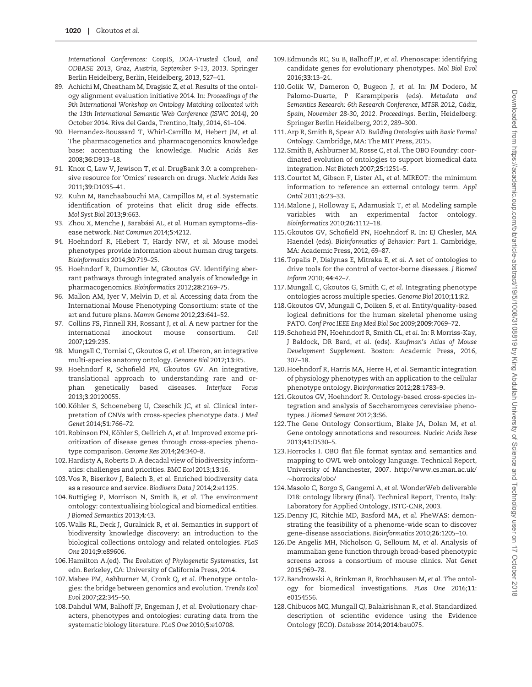<span id="page-12-0"></span>International Conferences: CoopIS, DOA-Trusted Cloud, and ODBASE 2013, Graz, Austria, September 9-13, 2013. Springer Berlin Heidelberg, Berlin, Heidelberg, 2013, 527–41.

- 89. Achichi M, Cheatham M, Dragisic Z, et al. Results of the ontology alignment evaluation initiative 2014. In: Proceedings of the 9th International Workshop on Ontology Matching collocated with the 13th International Semantic Web Conference (ISWC 2014), 20 October 2014. Riva del Garda, Trentino, Italy, 2014, 61–104.
- 90. Hernandez-Boussard T, Whirl-Carrillo M, Hebert JM, et al. The pharmacogenetics and pharmacogenomics knowledge base: accentuating the knowledge. Nucleic Acids Res 2008;36:D913–18.
- 91. Knox C, Law V, Jewison T, et al. DrugBank 3.0: a comprehensive resource for 'Omics' research on drugs. Nucleic Acids Res 2011;39:D1035–41.
- 92. Kuhn M, Banchaabouchi MA, Campillos M, et al. Systematic identification of proteins that elicit drug side effects. Mol Syst Biol 2013;9:663.
- 93. Zhou X, Menche J, Barabási AL, et al. Human symptoms-disease network. Nat Commun 2014;5:4212.
- 94. Hoehndorf R, Hiebert T, Hardy NW, et al. Mouse model phenotypes provide information about human drug targets. Bioinformatics 2014;30:719–25.
- 95. Hoehndorf R, Dumontier M, Gkoutos GV. Identifying aberrant pathways through integrated analysis of knowledge in pharmacogenomics. Bioinformatics 2012;28:2169–75.
- 96. Mallon AM, Iyer V, Melvin D, et al. Accessing data from the International Mouse Phenotyping Consortium: state of the art and future plans. Mamm Genome 2012;23:641–52.
- 97. Collins FS, Finnell RH, Rossant J, et al. A new partner for the international knockout mouse consortium. Cell 2007;129:235.
- 98. Mungall C, Torniai C, Gkoutos G, et al. Uberon, an integrative multi-species anatomy ontology. Genome Biol 2012;13:R5.
- 99. Hoehndorf R, Schofield PN, Gkoutos GV. An integrative, translational approach to understanding rare and orphan genetically based diseases. Interface Focus 2013;3:20120055.
- 100. Köhler S, Schoeneberg U, Czeschik JC, et al. Clinical interpretation of CNVs with cross-species phenotype data. J Med Genet 2014;51:766–72.
- 101. Robinson PN, Köhler S, Oellrich A, et al. Improved exome prioritization of disease genes through cross-species phenotype comparison. Genome Res 2014;24:340–8.
- 102. Hardisty A, Roberts D. A decadal view of biodiversity informatics: challenges and priorities. BMC Ecol 2013;13:16.
- 103. Vos R, Biserkov J, Balech B, et al. Enriched biodiversity data as a resource and service. Biodivers Data J 2014;2:e1125.
- 104. Buttigieg P, Morrison N, Smith B, et al. The environment ontology: contextualising biological and biomedical entities. J Biomed Semantics 2013;4:43.
- 105. Walls RL, Deck J, Guralnick R, et al. Semantics in support of biodiversity knowledge discovery: an introduction to the biological collections ontology and related ontologies. PLoS One 2014;9:e89606.
- 106. Hamilton A.(ed). The Evolution of Phylogenetic Systematics, 1st edn. Berkeley, CA: University of California Press, 2014.
- 107. Mabee PM, Ashburner M, Cronk Q, et al. Phenotype ontologies: the bridge between genomics and evolution. Trends Ecol Evol 2007;22:345–50.
- 108. Dahdul WM, Balhoff JP, Engeman J, et al. Evolutionary characters, phenotypes and ontologies: curating data from the systematic biology literature. PLoS One 2010;5:e10708.
- 109. Edmunds RC, Su B, Balhoff JP, et al. Phenoscape: identifying candidate genes for evolutionary phenotypes. Mol Biol Evol 2016;33:13–24.
- 110. Golik W, Dameron O, Bugeon J, et al. In: JM Dodero, M Palomo-Duarte, P Karampiperis (eds). Metadata and Semantics Research: 6th Research Conference, MTSR 2012, Cádiz, Spain, November 28-30, 2012. Proceedings. Berlin, Heidelberg: Springer Berlin Heidelberg, 2012, 289–300.
- 111. Arp R, Smith B, Spear AD. Building Ontologies with Basic Formal Ontology. Cambridge, MA: The MIT Press, 2015.
- 112. Smith B, Ashburner M, Rosse C, et al. The OBO Foundry: coordinated evolution of ontologies to support biomedical data integration. Nat Biotech 2007;25:1251–5.
- 113. Courtot M, Gibson F, Lister AL, et al. MIREOT: the minimum information to reference an external ontology term. Appl Ontol 2011;6:23–33.
- 114. Malone J, Holloway E, Adamusiak T, et al. Modeling sample variables with an experimental factor ontology. Bioinformatics 2010;26:1112–18.
- 115. Gkoutos GV, Schofield PN, Hoehndorf R. In: EJ Chesler, MA Haendel (eds). Bioinformatics of Behavior: Part 1. Cambridge, MA: Academic Press, 2012, 69–87.
- 116. Topalis P, Dialynas E, Mitraka E, et al. A set of ontologies to drive tools for the control of vector-borne diseases. J Biomed Inform 2010; 44:42–7.
- 117. Mungall C, Gkoutos G, Smith C, et al. Integrating phenotype ontologies across multiple species. Genome Biol 2010;11:R2.
- 118. Gkoutos GV, Mungall C, Dolken S, et al. Entity/quality-based logical definitions for the human skeletal phenome using PATO. Conf Proc IEEE Eng Med Biol Soc 2009;2009:7069–72.
- 119. Schofield PN, Hoehndorf R, Smith CL, et al. In: R Morriss-Kay, J Baldock, DR Bard, et al. (eds). Kaufman's Atlas of Mouse Development Supplement. Boston: Academic Press, 2016, 307–18.
- 120. Hoehndorf R, Harris MA, Herre H, et al. Semantic integration of physiology phenotypes with an application to the cellular phenotype ontology. Bioinformatics 2012;28:1783–9.
- 121. Gkoutos GV, Hoehndorf R. Ontology-based cross-species integration and analysis of Saccharomyces cerevisiae phenotypes. J Biomed Semant 2012;3:S6.
- 122. The Gene Ontology Consortium, Blake JA, Dolan M, et al. Gene ontology annotations and resources. Nucleic Acids Rese 2013;41:D530–5.
- 123. Horrocks I. OBO flat file format syntax and semantics and mapping to OWL web ontology language. Technical Report, University of Manchester, 2007. [http://www.cs.man.ac.uk/](http://www.cs.man.ac.uk/&hx0026;sim;horrocks/obo/)  $\sim$ [horrocks/obo/](http://www.cs.man.ac.uk/&hx0026;sim;horrocks/obo/)
- 124. Masolo C, Borgo S, Gangemi A, et al. WonderWeb deliverable D18: ontology library (final). Technical Report, Trento, Italy: Laboratory for Applied Ontology, ISTC-CNR, 2003.
- 125. Denny JC, Ritchie MD, Basford MA, et al. PheWAS: demonstrating the feasibility of a phenome-wide scan to discover gene–disease associations. Bioinformatics 2010;26:1205–10.
- 126. De Angelis MH, Nicholson G, Selloum M, et al. Analysis of mammalian gene function through broad-based phenotypic screens across a consortium of mouse clinics. Nat Genet 2015;969–78.
- 127. Bandrowski A, Brinkman R, Brochhausen M, et al. The ontology for biomedical investigations. PLos One 2016;11: e0154556.
- 128. Chibucos MC, Mungall CJ, Balakrishnan R, et al. Standardized description of scientific evidence using the Evidence Ontology (ECO). Database 2014;2014:bau075.